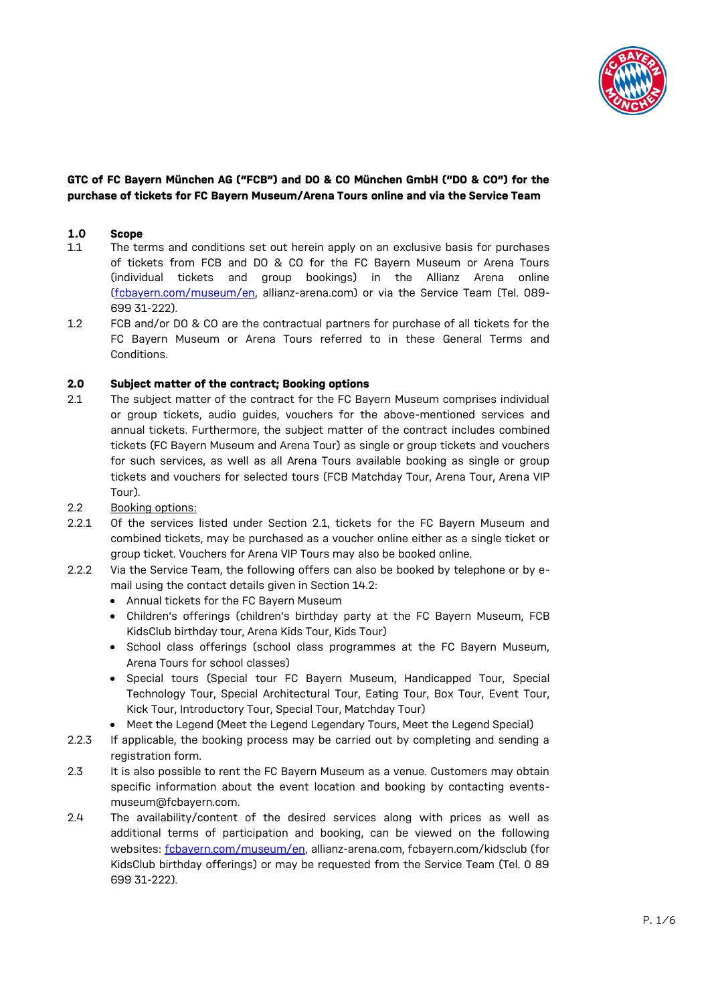

# **GTC of FC Bayern München AG ("FCB") and DO & CO München GmbH ("DO & CO") for the purchase of tickets for FC Bayern Museum/Arena Tours online and via the Service Team**

## **1.0 Scope**

- 1.1 The terms and conditions set out herein apply on an exclusive basis for purchases of tickets from FCB and DO & CO for the FC Bayern Museum or Arena Tours (individual tickets and group bookings) in the Allianz Arena online [\(fcbayern.com/museum/en,](https://fcbayern.com/museum/de) allianz-arena.com) or via the Service Team (Tel. 089- 699 31-222).
- 1.2 FCB and/or DO & CO are the contractual partners for purchase of all tickets for the FC Bayern Museum or Arena Tours referred to in these General Terms and Conditions.

## **2.0 Subject matter of the contract; Booking options**

- 2.1 The subject matter of the contract for the FC Bayern Museum comprises individual or group tickets, audio guides, vouchers for the above-mentioned services and annual tickets. Furthermore, the subject matter of the contract includes combined tickets (FC Bayern Museum and Arena Tour) as single or group tickets and vouchers for such services, as well as all Arena Tours available booking as single or group tickets and vouchers for selected tours (FCB Matchday Tour, Arena Tour, Arena VIP Tour).
- 2.2 Booking options:
- 2.2.1 Of the services listed under Section 2.1, tickets for the FC Bayern Museum and combined tickets, may be purchased as a voucher online either as a single ticket or group ticket. Vouchers for Arena VIP Tours may also be booked online.
- 2.2.2 Via the Service Team, the following offers can also be booked by telephone or by email using the contact details given in Section 14.2:
	- Annual tickets for the FC Bayern Museum
	- Children's offerings (children's birthday party at the FC Bayern Museum, FCB KidsClub birthday tour, Arena Kids Tour, Kids Tour)
	- School class offerings (school class programmes at the FC Bayern Museum, Arena Tours for school classes)
	- Special tours (Special tour FC Bayern Museum, Handicapped Tour, Special Technology Tour, Special Architectural Tour, Eating Tour, Box Tour, Event Tour, Kick Tour, Introductory Tour, Special Tour, Matchday Tour)
	- Meet the Legend (Meet the Legend Legendary Tours, Meet the Legend Special)
- 2.2.3 If applicable, the booking process may be carried out by completing and sending a registration form.
- 2.3 It is also possible to rent the FC Bayern Museum as a venue. Customers may obtain specific information about the event location and booking by contacting eventsmuseum@fcbayern.com.
- 2.4 The availability/content of the desired services along with prices as well as additional terms of participation and booking, can be viewed on the following websites: [fcbayern.com/museum/en,](https://fcbayern.com/museum/de) allianz-arena.com, fcbayern.com/kidsclub (for KidsClub birthday offerings) or may be requested from the Service Team (Tel. 0 89 699 31-222).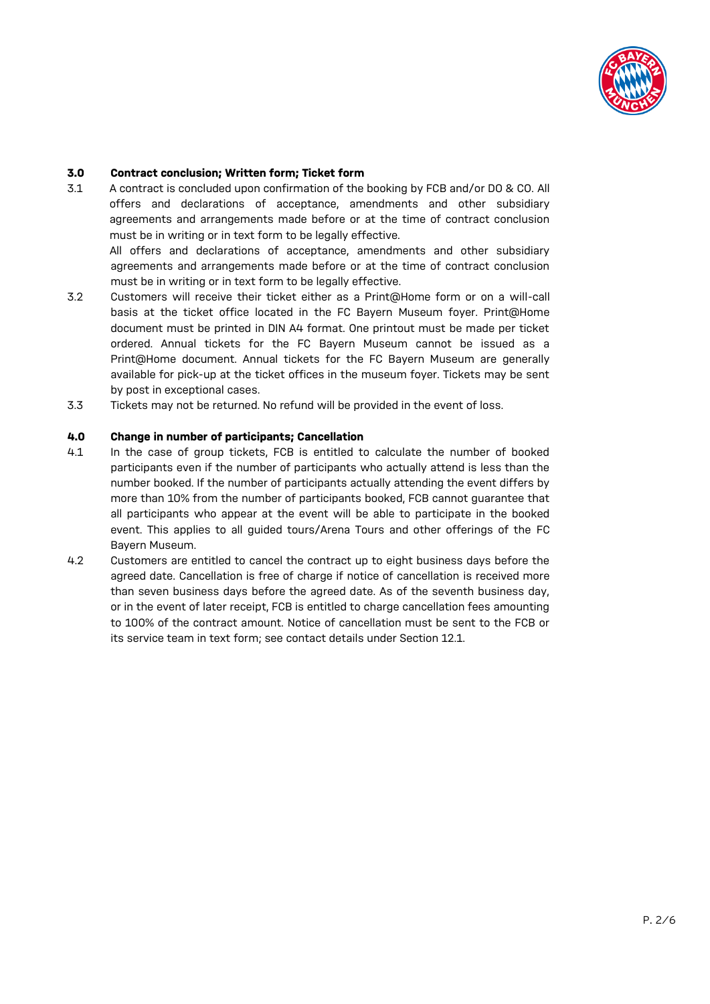

## **3.0 Contract conclusion; Written form; Ticket form**

3.1 A contract is concluded upon confirmation of the booking by FCB and/or DO & CO. All offers and declarations of acceptance, amendments and other subsidiary agreements and arrangements made before or at the time of contract conclusion must be in writing or in text form to be legally effective.

All offers and declarations of acceptance, amendments and other subsidiary agreements and arrangements made before or at the time of contract conclusion must be in writing or in text form to be legally effective.

- 3.2 Customers will receive their ticket either as a Print@Home form or on a will-call basis at the ticket office located in the FC Bayern Museum foyer. Print@Home document must be printed in DIN A4 format. One printout must be made per ticket ordered. Annual tickets for the FC Bayern Museum cannot be issued as a Print@Home document. Annual tickets for the FC Bayern Museum are generally available for pick-up at the ticket offices in the museum foyer. Tickets may be sent by post in exceptional cases.
- 3.3 Tickets may not be returned. No refund will be provided in the event of loss.

## **4.0 Change in number of participants; Cancellation**

- 4.1 In the case of group tickets, FCB is entitled to calculate the number of booked participants even if the number of participants who actually attend is less than the number booked. If the number of participants actually attending the event differs by more than 10% from the number of participants booked, FCB cannot guarantee that all participants who appear at the event will be able to participate in the booked event. This applies to all guided tours/Arena Tours and other offerings of the FC Bayern Museum.
- 4.2 Customers are entitled to cancel the contract up to eight business days before the agreed date. Cancellation is free of charge if notice of cancellation is received more than seven business days before the agreed date. As of the seventh business day, or in the event of later receipt, FCB is entitled to charge cancellation fees amounting to 100% of the contract amount. Notice of cancellation must be sent to the FCB or its service team in text form; see contact details under Section 12.1.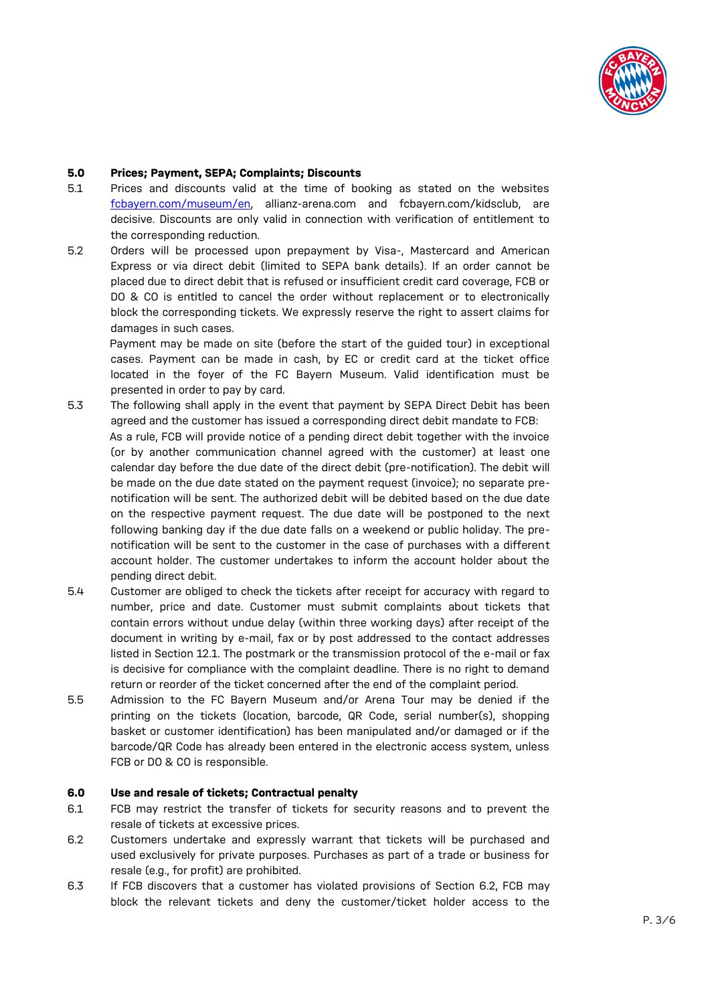

## **5.0 Prices; Payment, SEPA; Complaints; Discounts**

- 5.1 Prices and discounts valid at the time of booking as stated on the websites [fcbayern.com/museum/en,](https://fcbayern.com/museum/de) allianz-arena.com and fcbayern.com/kidsclub, are decisive. Discounts are only valid in connection with verification of entitlement to the corresponding reduction.
- 5.2 Orders will be processed upon prepayment by Visa-, Mastercard and American Express or via direct debit (limited to SEPA bank details). If an order cannot be placed due to direct debit that is refused or insufficient credit card coverage, FCB or DO & CO is entitled to cancel the order without replacement or to electronically block the corresponding tickets. We expressly reserve the right to assert claims for damages in such cases.

Payment may be made on site (before the start of the guided tour) in exceptional cases. Payment can be made in cash, by EC or credit card at the ticket office located in the foyer of the FC Bayern Museum. Valid identification must be presented in order to pay by card.

- 5.3 The following shall apply in the event that payment by SEPA Direct Debit has been agreed and the customer has issued a corresponding direct debit mandate to FCB: As a rule, FCB will provide notice of a pending direct debit together with the invoice (or by another communication channel agreed with the customer) at least one calendar day before the due date of the direct debit (pre-notification). The debit will be made on the due date stated on the payment request (invoice); no separate prenotification will be sent. The authorized debit will be debited based on the due date on the respective payment request. The due date will be postponed to the next following banking day if the due date falls on a weekend or public holiday. The prenotification will be sent to the customer in the case of purchases with a different account holder. The customer undertakes to inform the account holder about the pending direct debit.
- 5.4 Customer are obliged to check the tickets after receipt for accuracy with regard to number, price and date. Customer must submit complaints about tickets that contain errors without undue delay (within three working days) after receipt of the document in writing by e-mail, fax or by post addressed to the contact addresses listed in Section 12.1. The postmark or the transmission protocol of the e-mail or fax is decisive for compliance with the complaint deadline. There is no right to demand return or reorder of the ticket concerned after the end of the complaint period.
- 5.5 Admission to the FC Bayern Museum and/or Arena Tour may be denied if the printing on the tickets (location, barcode, QR Code, serial number(s), shopping basket or customer identification) has been manipulated and/or damaged or if the barcode/QR Code has already been entered in the electronic access system, unless FCB or DO & CO is responsible.

## **6.0 Use and resale of tickets; Contractual penalty**

- 6.1 FCB may restrict the transfer of tickets for security reasons and to prevent the resale of tickets at excessive prices.
- 6.2 Customers undertake and expressly warrant that tickets will be purchased and used exclusively for private purposes. Purchases as part of a trade or business for resale (e.g., for profit) are prohibited.
- 6.3 If FCB discovers that a customer has violated provisions of Section 6.2, FCB may block the relevant tickets and deny the customer/ticket holder access to the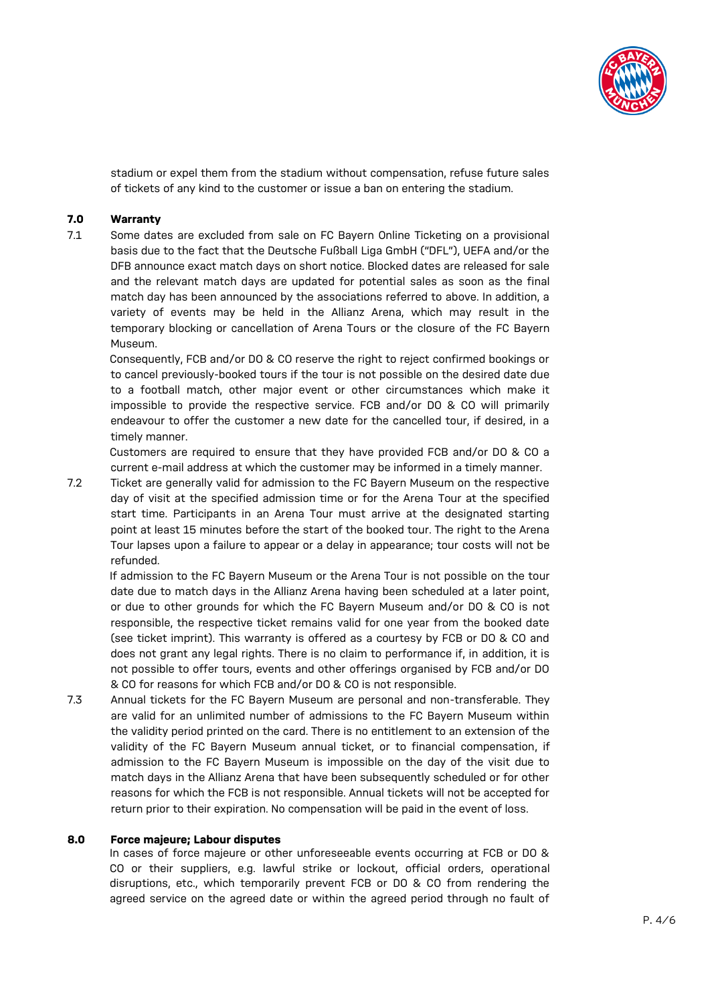

stadium or expel them from the stadium without compensation, refuse future sales of tickets of any kind to the customer or issue a ban on entering the stadium.

## **7.0 Warranty**

7.1 Some dates are excluded from sale on FC Bayern Online Ticketing on a provisional basis due to the fact that the Deutsche Fußball Liga GmbH ("DFL"), UEFA and/or the DFB announce exact match days on short notice. Blocked dates are released for sale and the relevant match days are updated for potential sales as soon as the final match day has been announced by the associations referred to above. In addition, a variety of events may be held in the Allianz Arena, which may result in the temporary blocking or cancellation of Arena Tours or the closure of the FC Bayern Museum.

Consequently, FCB and/or DO & CO reserve the right to reject confirmed bookings or to cancel previously-booked tours if the tour is not possible on the desired date due to a football match, other major event or other circumstances which make it impossible to provide the respective service. FCB and/or DO & CO will primarily endeavour to offer the customer a new date for the cancelled tour, if desired, in a timely manner.

Customers are required to ensure that they have provided FCB and/or DO & CO a current e-mail address at which the customer may be informed in a timely manner.

7.2 Ticket are generally valid for admission to the FC Bayern Museum on the respective day of visit at the specified admission time or for the Arena Tour at the specified start time. Participants in an Arena Tour must arrive at the designated starting point at least 15 minutes before the start of the booked tour. The right to the Arena Tour lapses upon a failure to appear or a delay in appearance; tour costs will not be refunded.

If admission to the FC Bayern Museum or the Arena Tour is not possible on the tour date due to match days in the Allianz Arena having been scheduled at a later point, or due to other grounds for which the FC Bayern Museum and/or DO & CO is not responsible, the respective ticket remains valid for one year from the booked date (see ticket imprint). This warranty is offered as a courtesy by FCB or DO & CO and does not grant any legal rights. There is no claim to performance if, in addition, it is not possible to offer tours, events and other offerings organised by FCB and/or DO & CO for reasons for which FCB and/or DO & CO is not responsible.

7.3 Annual tickets for the FC Bayern Museum are personal and non-transferable. They are valid for an unlimited number of admissions to the FC Bayern Museum within the validity period printed on the card. There is no entitlement to an extension of the validity of the FC Bayern Museum annual ticket, or to financial compensation, if admission to the FC Bayern Museum is impossible on the day of the visit due to match days in the Allianz Arena that have been subsequently scheduled or for other reasons for which the FCB is not responsible. Annual tickets will not be accepted for return prior to their expiration. No compensation will be paid in the event of loss.

#### **8.0 Force majeure; Labour disputes**

In cases of force majeure or other unforeseeable events occurring at FCB or DO & CO or their suppliers, e.g. lawful strike or lockout, official orders, operational disruptions, etc., which temporarily prevent FCB or DO & CO from rendering the agreed service on the agreed date or within the agreed period through no fault of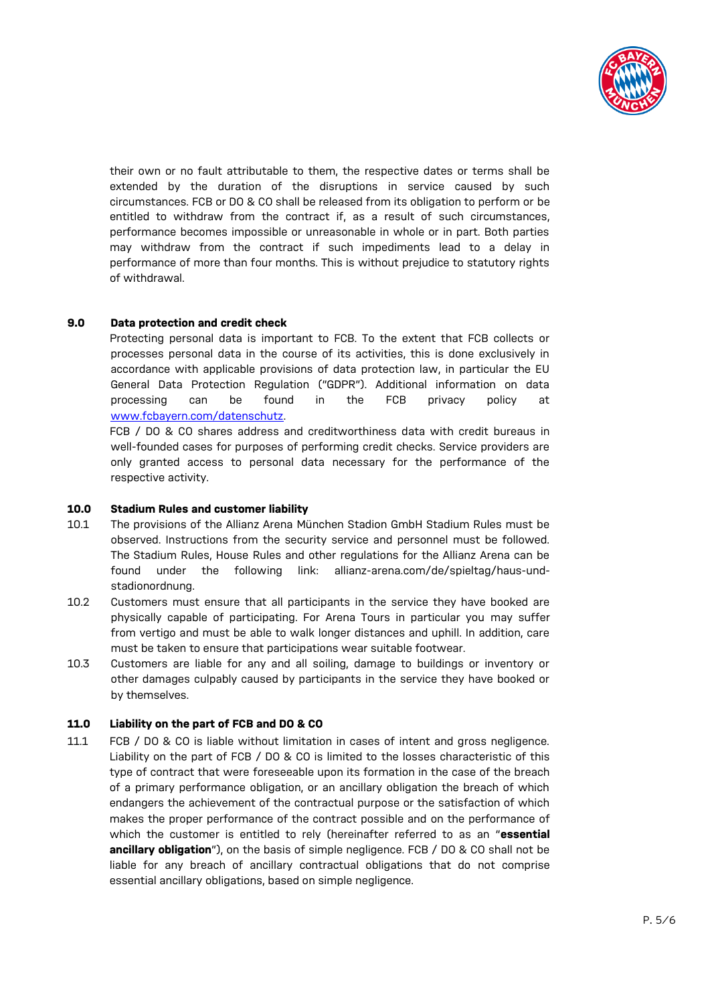

their own or no fault attributable to them, the respective dates or terms shall be extended by the duration of the disruptions in service caused by such circumstances. FCB or DO & CO shall be released from its obligation to perform or be entitled to withdraw from the contract if, as a result of such circumstances, performance becomes impossible or unreasonable in whole or in part. Both parties may withdraw from the contract if such impediments lead to a delay in performance of more than four months. This is without prejudice to statutory rights of withdrawal.

# **9.0 Data protection and credit check**

Protecting personal data is important to FCB. To the extent that FCB collects or processes personal data in the course of its activities, this is done exclusively in accordance with applicable provisions of data protection law, in particular the EU General Data Protection Regulation ("GDPR"). Additional information on data processing can be found in the FCB privacy policy at [www.fcbayern.com/datenschutz.](http://www.fcbayern.com/datenschutz) 

FCB / DO & CO shares address and creditworthiness data with credit bureaus in well-founded cases for purposes of performing credit checks. Service providers are only granted access to personal data necessary for the performance of the respective activity.

## **10.0 Stadium Rules and customer liability**

- 10.1 The provisions of the Allianz Arena München Stadion GmbH Stadium Rules must be observed. Instructions from the security service and personnel must be followed. The Stadium Rules, House Rules and other regulations for the Allianz Arena can be found under the following link: allianz-arena.com/de/spieltag/haus-undstadionordnung.
- 10.2 Customers must ensure that all participants in the service they have booked are physically capable of participating. For Arena Tours in particular you may suffer from vertigo and must be able to walk longer distances and uphill. In addition, care must be taken to ensure that participations wear suitable footwear.
- 10.3 Customers are liable for any and all soiling, damage to buildings or inventory or other damages culpably caused by participants in the service they have booked or by themselves.

# **11.0 Liability on the part of FCB and DO & CO**

11.1 FCB / DO & CO is liable without limitation in cases of intent and gross negligence. Liability on the part of FCB / DO & CO is limited to the losses characteristic of this type of contract that were foreseeable upon its formation in the case of the breach of a primary performance obligation, or an ancillary obligation the breach of which endangers the achievement of the contractual purpose or the satisfaction of which makes the proper performance of the contract possible and on the performance of which the customer is entitled to rely (hereinafter referred to as an "**essential ancillary obligation**"), on the basis of simple negligence. FCB / DO & CO shall not be liable for any breach of ancillary contractual obligations that do not comprise essential ancillary obligations, based on simple negligence.